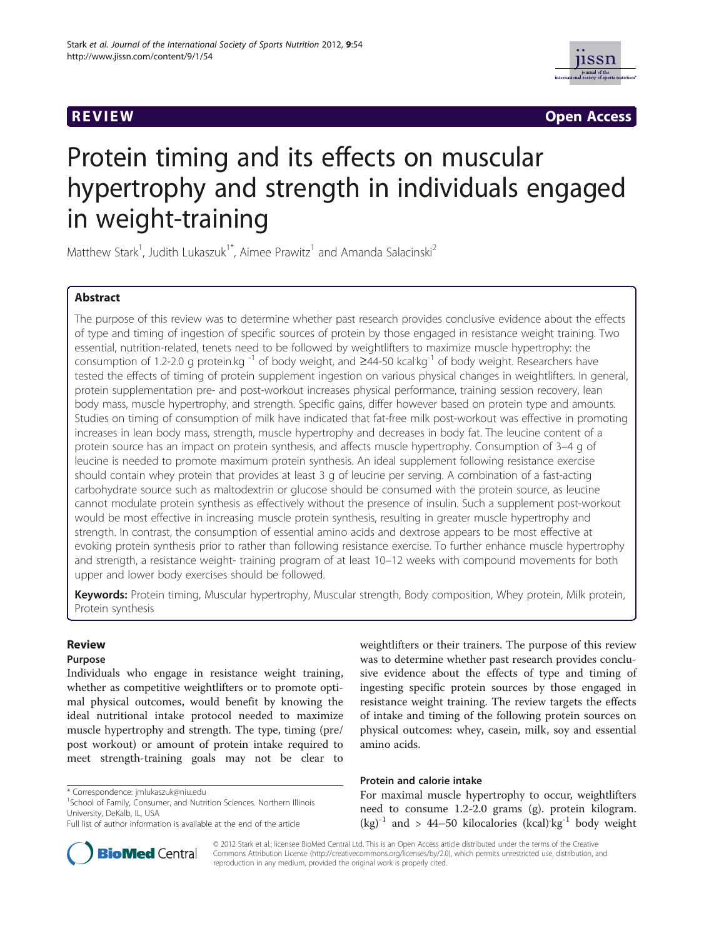



R EVI EW Open Access

# Protein timing and its effects on muscular hypertrophy and strength in individuals engaged in weight-training

Matthew Stark<sup>1</sup>, Judith Lukaszuk<sup>1\*</sup>, Aimee Prawitz<sup>1</sup> and Amanda Salacinski<sup>2</sup>

# Abstract

The purpose of this review was to determine whether past research provides conclusive evidence about the effects of type and timing of ingestion of specific sources of protein by those engaged in resistance weight training. Two essential, nutrition-related, tenets need to be followed by weightlifters to maximize muscle hypertrophy: the consumption of 1.2-2.0 g protein.kg<sup>-1</sup> of body weight, and ≥44-50 kcal·kg<sup>-1</sup> of body weight. Researchers have tested the effects of timing of protein supplement ingestion on various physical changes in weightlifters. In general, protein supplementation pre- and post-workout increases physical performance, training session recovery, lean body mass, muscle hypertrophy, and strength. Specific gains, differ however based on protein type and amounts. Studies on timing of consumption of milk have indicated that fat-free milk post-workout was effective in promoting increases in lean body mass, strength, muscle hypertrophy and decreases in body fat. The leucine content of a protein source has an impact on protein synthesis, and affects muscle hypertrophy. Consumption of 3–4 g of leucine is needed to promote maximum protein synthesis. An ideal supplement following resistance exercise should contain whey protein that provides at least 3 g of leucine per serving. A combination of a fast-acting carbohydrate source such as maltodextrin or glucose should be consumed with the protein source, as leucine cannot modulate protein synthesis as effectively without the presence of insulin. Such a supplement post-workout would be most effective in increasing muscle protein synthesis, resulting in greater muscle hypertrophy and strength. In contrast, the consumption of essential amino acids and dextrose appears to be most effective at evoking protein synthesis prior to rather than following resistance exercise. To further enhance muscle hypertrophy and strength, a resistance weight- training program of at least 10–12 weeks with compound movements for both upper and lower body exercises should be followed.

Keywords: Protein timing, Muscular hypertrophy, Muscular strength, Body composition, Whey protein, Milk protein, Protein synthesis

# Review

# Purpose

Individuals who engage in resistance weight training, whether as competitive weightlifters or to promote optimal physical outcomes, would benefit by knowing the ideal nutritional intake protocol needed to maximize muscle hypertrophy and strength. The type, timing (pre/ post workout) or amount of protein intake required to meet strength-training goals may not be clear to

weightlifters or their trainers. The purpose of this review was to determine whether past research provides conclusive evidence about the effects of type and timing of ingesting specific protein sources by those engaged in resistance weight training. The review targets the effects of intake and timing of the following protein sources on physical outcomes: whey, casein, milk, soy and essential amino acids.

# Protein and calorie intake

For maximal muscle hypertrophy to occur, weightlifters need to consume 1.2-2.0 grams (g). protein kilogram.  $(kg)^{-1}$  and > 44-50 kilocalories (kcal)  $kg^{-1}$  body weight



© 2012 Stark et al.; licensee BioMed Central Ltd. This is an Open Access article distributed under the terms of the Creative Commons Attribution License [\(http://creativecommons.org/licenses/by/2.0\)](http://creativecommons.org/licenses/by/2.0), which permits unrestricted use, distribution, and reproduction in any medium, provided the original work is properly cited.

<sup>\*</sup> Correspondence: [jmlukaszuk@niu.edu](mailto:jmlukaszuk@niu.edu) <sup>1</sup>

<sup>&</sup>lt;sup>1</sup>School of Family, Consumer, and Nutrition Sciences. Northern Illinois University, DeKalb, IL, USA

Full list of author information is available at the end of the article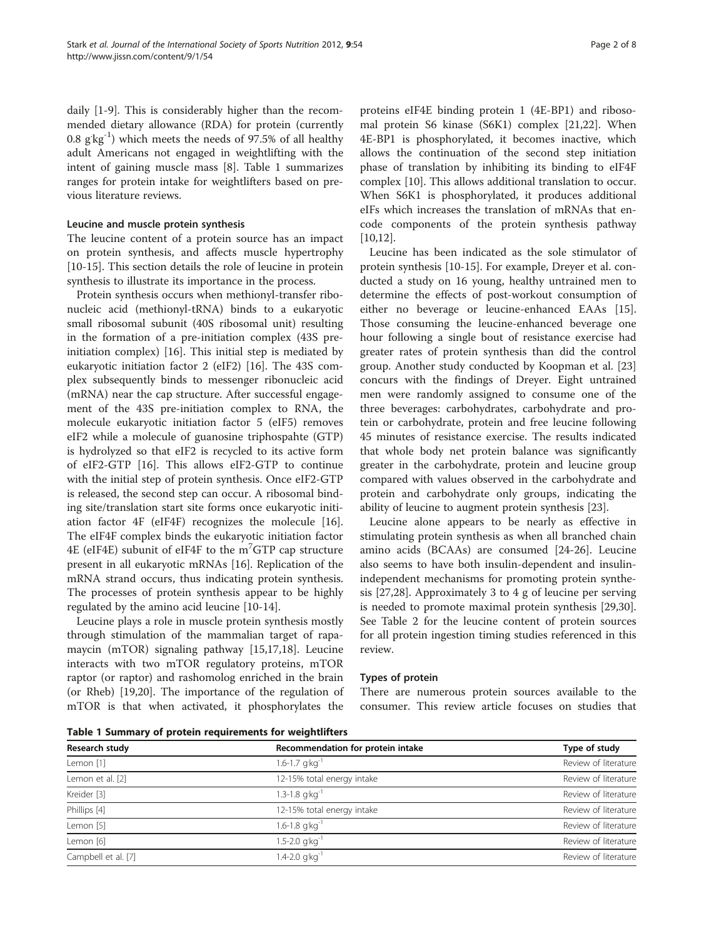daily [[1-9](#page-6-0)]. This is considerably higher than the recommended dietary allowance (RDA) for protein (currently  $(0.8 \text{ g/kg}^{-1})$  which meets the needs of 97.5% of all healthy adult Americans not engaged in weightlifting with the intent of gaining muscle mass [[8\]](#page-6-0). Table 1 summarizes ranges for protein intake for weightlifters based on previous literature reviews.

## Leucine and muscle protein synthesis

The leucine content of a protein source has an impact on protein synthesis, and affects muscle hypertrophy [[10-15](#page-6-0)]. This section details the role of leucine in protein synthesis to illustrate its importance in the process.

Protein synthesis occurs when methionyl-transfer ribonucleic acid (methionyl-tRNA) binds to a eukaryotic small ribosomal subunit (40S ribosomal unit) resulting in the formation of a pre-initiation complex (43S preinitiation complex) [[16\]](#page-6-0). This initial step is mediated by eukaryotic initiation factor 2 (eIF2) [\[16](#page-6-0)]. The 43S complex subsequently binds to messenger ribonucleic acid (mRNA) near the cap structure. After successful engagement of the 43S pre-initiation complex to RNA, the molecule eukaryotic initiation factor 5 (eIF5) removes eIF2 while a molecule of guanosine triphospahte (GTP) is hydrolyzed so that eIF2 is recycled to its active form of eIF2-GTP [[16](#page-6-0)]. This allows eIF2-GTP to continue with the initial step of protein synthesis. Once eIF2-GTP is released, the second step can occur. A ribosomal binding site/translation start site forms once eukaryotic initiation factor 4F (eIF4F) recognizes the molecule [\[16](#page-6-0)]. The eIF4F complex binds the eukaryotic initiation factor 4E (eIF4E) subunit of eIF4F to the m<sup>7</sup> GTP cap structure present in all eukaryotic mRNAs [[16\]](#page-6-0). Replication of the mRNA strand occurs, thus indicating protein synthesis. The processes of protein synthesis appear to be highly regulated by the amino acid leucine [\[10-14](#page-6-0)].

Leucine plays a role in muscle protein synthesis mostly through stimulation of the mammalian target of rapamaycin (mTOR) signaling pathway [\[15,17,18](#page-6-0)]. Leucine interacts with two mTOR regulatory proteins, mTOR raptor (or raptor) and rashomolog enriched in the brain (or Rheb) [[19](#page-6-0),[20](#page-6-0)]. The importance of the regulation of mTOR is that when activated, it phosphorylates the

proteins eIF4E binding protein 1 (4E-BP1) and ribosomal protein S6 kinase (S6K1) complex [\[21,22](#page-6-0)]. When 4E-BP1 is phosphorylated, it becomes inactive, which allows the continuation of the second step initiation phase of translation by inhibiting its binding to eIF4F complex [\[10](#page-6-0)]. This allows additional translation to occur. When S6K1 is phosphorylated, it produces additional eIFs which increases the translation of mRNAs that encode components of the protein synthesis pathway [[10,12\]](#page-6-0).

Leucine has been indicated as the sole stimulator of protein synthesis [[10-15](#page-6-0)]. For example, Dreyer et al. conducted a study on 16 young, healthy untrained men to determine the effects of post-workout consumption of either no beverage or leucine-enhanced EAAs [\[15](#page-6-0)]. Those consuming the leucine-enhanced beverage one hour following a single bout of resistance exercise had greater rates of protein synthesis than did the control group. Another study conducted by Koopman et al. [[23](#page-6-0)] concurs with the findings of Dreyer. Eight untrained men were randomly assigned to consume one of the three beverages: carbohydrates, carbohydrate and protein or carbohydrate, protein and free leucine following 45 minutes of resistance exercise. The results indicated that whole body net protein balance was significantly greater in the carbohydrate, protein and leucine group compared with values observed in the carbohydrate and protein and carbohydrate only groups, indicating the ability of leucine to augment protein synthesis [\[23](#page-6-0)].

Leucine alone appears to be nearly as effective in stimulating protein synthesis as when all branched chain amino acids (BCAAs) are consumed [[24](#page-6-0)-[26\]](#page-6-0). Leucine also seems to have both insulin-dependent and insulinindependent mechanisms for promoting protein synthesis [\[27,28\]](#page-6-0). Approximately 3 to 4 g of leucine per serving is needed to promote maximal protein synthesis [\[29,30](#page-6-0)]. See Table [2](#page-2-0) for the leucine content of protein sources for all protein ingestion timing studies referenced in this review.

## Types of protein

There are numerous protein sources available to the consumer. This review article focuses on studies that

Table 1 Summary of protein requirements for weightlifters

| Research study      | Recommendation for protein intake | Type of study        |
|---------------------|-----------------------------------|----------------------|
| Lemon [1]           | $1.6 - 1.7$ g kg <sup>-1</sup>    | Review of literature |
| Lemon et al. [2]    | 12-15% total energy intake        | Review of literature |
| Kreider [3]         | 1.3-1.8 $q$ k $q^{-1}$            | Review of literature |
| Phillips [4]        | 12-15% total energy intake        | Review of literature |
| Lemon [5]           | 1.6-1.8 g kg                      | Review of literature |
| Lemon [6]           | 1.5-2.0 g kg                      | Review of literature |
| Campbell et al. [7] | 1.4-2.0 g kg                      | Review of literature |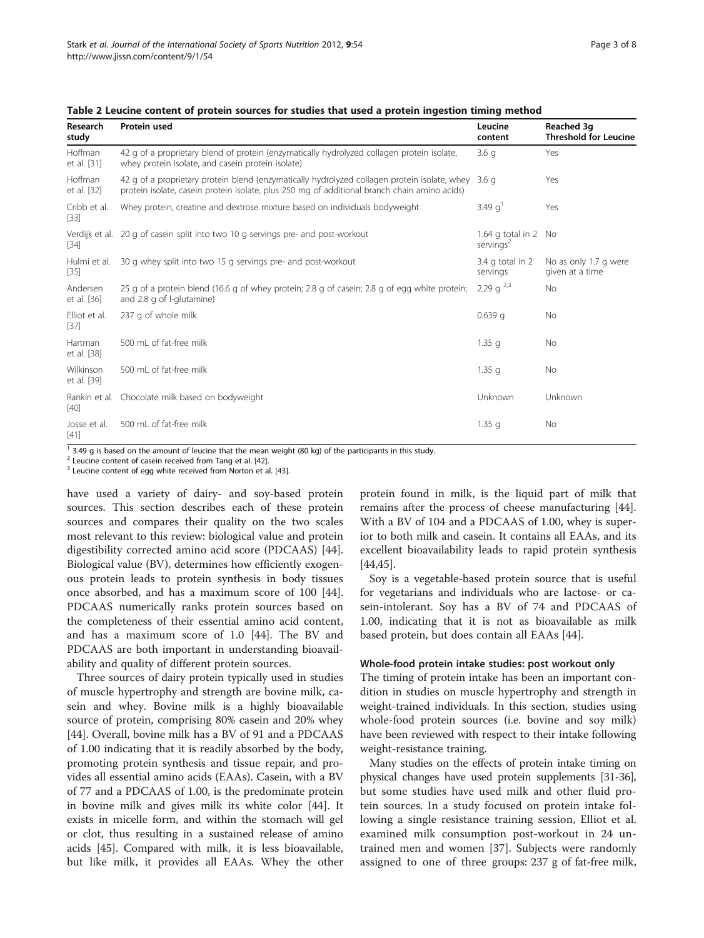| Research<br>study        | Protein used                                                                                                                                                                                 | Leucine<br>content                            | Reached 3g<br><b>Threshold for Leucine</b> |
|--------------------------|----------------------------------------------------------------------------------------------------------------------------------------------------------------------------------------------|-----------------------------------------------|--------------------------------------------|
| Hoffman<br>et al. [31]   | 42 g of a proprietary blend of protein (enzymatically hydrolyzed collagen protein isolate,<br>whey protein isolate, and casein protein isolate)                                              | 3.6 <sub>q</sub>                              | Yes                                        |
| Hoffman<br>et al. [32]   | 42 g of a proprietary protein blend (enzymatically hydrolyzed collagen protein isolate, whey<br>protein isolate, casein protein isolate, plus 250 mg of additional branch chain amino acids) | 3.6 <sub>q</sub>                              | Yes                                        |
| Cribb et al.<br>$[33]$   | Whey protein, creatine and dextrose mixture based on individuals bodyweight                                                                                                                  | 3.49 $q1$                                     | Yes                                        |
| $[34]$                   | Verdijk et al. 20 g of casein split into two 10 g servings pre- and post-workout                                                                                                             | 1.64 g total in 2 No<br>servings <sup>2</sup> |                                            |
| Hulmi et al.<br>$[35]$   | 30 g whey split into two 15 g servings pre- and post-workout                                                                                                                                 | 3.4 $q$ total in 2<br>servings                | No as only 1.7 g were<br>given at a time   |
| Andersen<br>et al. [36]  | 25 g of a protein blend (16.6 g of whey protein; 2.8 g of casein; 2.8 g of egg white protein;<br>and 2.8 g of l-glutamine)                                                                   | 2.29 g $^{2,3}$                               | <b>No</b>                                  |
| Elliot et al.<br>$[37]$  | 237 g of whole milk                                                                                                                                                                          | 0.639q                                        | <b>No</b>                                  |
| Hartman<br>et al. [38]   | 500 mL of fat-free milk                                                                                                                                                                      | 1.35q                                         | <b>No</b>                                  |
| Wilkinson<br>et al. [39] | 500 mL of fat-free milk                                                                                                                                                                      | $1.35$ g                                      | <b>No</b>                                  |
| Rankin et al.<br>$[40]$  | Chocolate milk based on bodyweight                                                                                                                                                           | Unknown                                       | Unknown                                    |
| Josse et al.<br>$[41]$   | 500 mL of fat-free milk                                                                                                                                                                      | 1.35q                                         | No                                         |

<span id="page-2-0"></span>Table 2 Leucine content of protein sources for studies that used a protein ingestion timing method

 $1$  3.49 g is based on the amount of leucine that the mean weight (80 kg) of the participants in this study.

<sup>2</sup> Leucine content of casein received from Tang et al. [\[42](#page-7-0)].  $\frac{3}{3}$  Leucine content of egg white received from Norton et al. [[43\]](#page-7-0).

have used a variety of dairy- and soy-based protein sources. This section describes each of these protein sources and compares their quality on the two scales most relevant to this review: biological value and protein digestibility corrected amino acid score (PDCAAS) [\[44](#page-7-0)]. Biological value (BV), determines how efficiently exogenous protein leads to protein synthesis in body tissues once absorbed, and has a maximum score of 100 [\[44](#page-7-0)]. PDCAAS numerically ranks protein sources based on the completeness of their essential amino acid content, and has a maximum score of 1.0 [\[44](#page-7-0)]. The BV and PDCAAS are both important in understanding bioavailability and quality of different protein sources.

Three sources of dairy protein typically used in studies of muscle hypertrophy and strength are bovine milk, casein and whey. Bovine milk is a highly bioavailable source of protein, comprising 80% casein and 20% whey [[44\]](#page-7-0). Overall, bovine milk has a BV of 91 and a PDCAAS of 1.00 indicating that it is readily absorbed by the body, promoting protein synthesis and tissue repair, and provides all essential amino acids (EAAs). Casein, with a BV of 77 and a PDCAAS of 1.00, is the predominate protein in bovine milk and gives milk its white color [\[44\]](#page-7-0). It exists in micelle form, and within the stomach will gel or clot, thus resulting in a sustained release of amino acids [[45\]](#page-7-0). Compared with milk, it is less bioavailable, but like milk, it provides all EAAs. Whey the other protein found in milk, is the liquid part of milk that remains after the process of cheese manufacturing [\[44](#page-7-0)]. With a BV of 104 and a PDCAAS of 1.00, whey is superior to both milk and casein. It contains all EAAs, and its excellent bioavailability leads to rapid protein synthesis [[44,45\]](#page-7-0).

Soy is a vegetable-based protein source that is useful for vegetarians and individuals who are lactose- or casein-intolerant. Soy has a BV of 74 and PDCAAS of 1.00, indicating that it is not as bioavailable as milk based protein, but does contain all EAAs [[44\]](#page-7-0).

## Whole-food protein intake studies: post workout only

The timing of protein intake has been an important condition in studies on muscle hypertrophy and strength in weight-trained individuals. In this section, studies using whole-food protein sources (i.e. bovine and soy milk) have been reviewed with respect to their intake following weight-resistance training.

Many studies on the effects of protein intake timing on physical changes have used protein supplements [\[31-36](#page-7-0)], but some studies have used milk and other fluid protein sources. In a study focused on protein intake following a single resistance training session, Elliot et al. examined milk consumption post-workout in 24 untrained men and women [\[37](#page-7-0)]. Subjects were randomly assigned to one of three groups: 237 g of fat-free milk,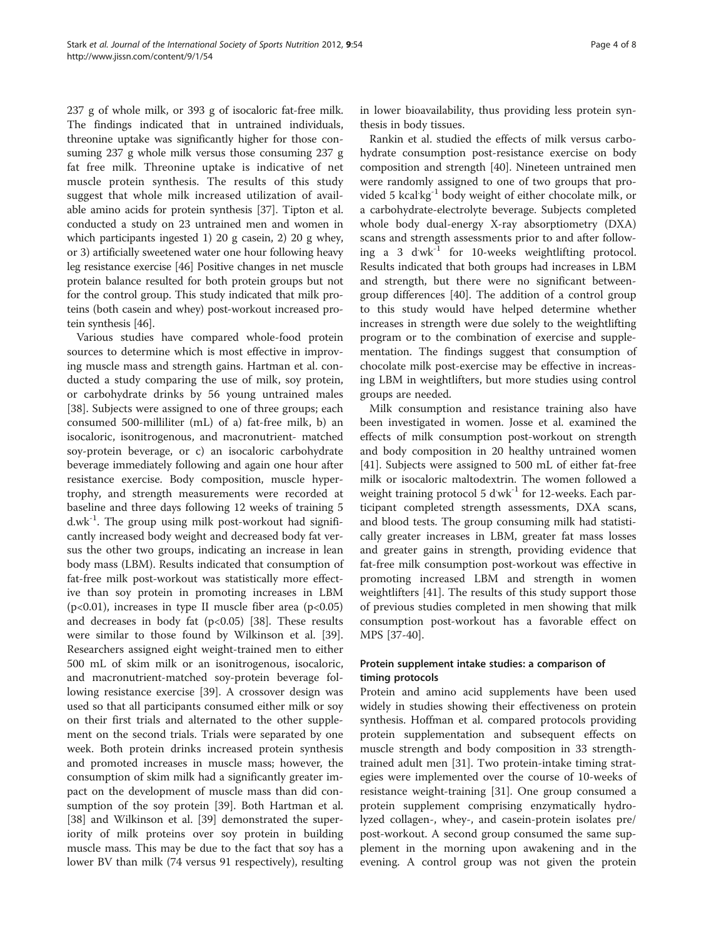237 g of whole milk, or 393 g of isocaloric fat-free milk. The findings indicated that in untrained individuals, threonine uptake was significantly higher for those consuming 237 g whole milk versus those consuming 237 g fat free milk. Threonine uptake is indicative of net muscle protein synthesis. The results of this study suggest that whole milk increased utilization of available amino acids for protein synthesis [\[37](#page-7-0)]. Tipton et al. conducted a study on 23 untrained men and women in which participants ingested 1) 20 g casein, 2) 20 g whey, or 3) artificially sweetened water one hour following heavy leg resistance exercise [\[46\]](#page-7-0) Positive changes in net muscle protein balance resulted for both protein groups but not for the control group. This study indicated that milk proteins (both casein and whey) post-workout increased protein synthesis [\[46\]](#page-7-0).

Various studies have compared whole-food protein sources to determine which is most effective in improving muscle mass and strength gains. Hartman et al. conducted a study comparing the use of milk, soy protein, or carbohydrate drinks by 56 young untrained males [[38\]](#page-7-0). Subjects were assigned to one of three groups; each consumed 500-milliliter (mL) of a) fat-free milk, b) an isocaloric, isonitrogenous, and macronutrient- matched soy-protein beverage, or c) an isocaloric carbohydrate beverage immediately following and again one hour after resistance exercise. Body composition, muscle hypertrophy, and strength measurements were recorded at baseline and three days following 12 weeks of training 5  $d.wk^{-1}$ . The group using milk post-workout had significantly increased body weight and decreased body fat versus the other two groups, indicating an increase in lean body mass (LBM). Results indicated that consumption of fat-free milk post-workout was statistically more effective than soy protein in promoting increases in LBM  $(p<0.01)$ , increases in type II muscle fiber area  $(p<0.05)$ and decreases in body fat  $(p<0.05)$  [[38](#page-7-0)]. These results were similar to those found by Wilkinson et al. [\[39](#page-7-0)]. Researchers assigned eight weight-trained men to either 500 mL of skim milk or an isonitrogenous, isocaloric, and macronutrient-matched soy-protein beverage following resistance exercise [\[39\]](#page-7-0). A crossover design was used so that all participants consumed either milk or soy on their first trials and alternated to the other supplement on the second trials. Trials were separated by one week. Both protein drinks increased protein synthesis and promoted increases in muscle mass; however, the consumption of skim milk had a significantly greater impact on the development of muscle mass than did consumption of the soy protein [[39](#page-7-0)]. Both Hartman et al. [[38\]](#page-7-0) and Wilkinson et al. [\[39](#page-7-0)] demonstrated the superiority of milk proteins over soy protein in building muscle mass. This may be due to the fact that soy has a lower BV than milk (74 versus 91 respectively), resulting in lower bioavailability, thus providing less protein synthesis in body tissues.

Rankin et al. studied the effects of milk versus carbohydrate consumption post-resistance exercise on body composition and strength [[40\]](#page-7-0). Nineteen untrained men were randomly assigned to one of two groups that provided 5 kcal·kg<sup>-1</sup> body weight of either chocolate milk, or a carbohydrate-electrolyte beverage. Subjects completed whole body dual-energy X-ray absorptiometry (DXA) scans and strength assessments prior to and after following a 3 dwk<sup>-1</sup> for 10-weeks weightlifting protocol. Results indicated that both groups had increases in LBM and strength, but there were no significant betweengroup differences [[40\]](#page-7-0). The addition of a control group to this study would have helped determine whether increases in strength were due solely to the weightlifting program or to the combination of exercise and supplementation. The findings suggest that consumption of chocolate milk post-exercise may be effective in increasing LBM in weightlifters, but more studies using control groups are needed.

Milk consumption and resistance training also have been investigated in women. Josse et al. examined the effects of milk consumption post-workout on strength and body composition in 20 healthy untrained women [[41\]](#page-7-0). Subjects were assigned to 500 mL of either fat-free milk or isocaloric maltodextrin. The women followed a weight training protocol 5 dwk<sup>-1</sup> for 12-weeks. Each participant completed strength assessments, DXA scans, and blood tests. The group consuming milk had statistically greater increases in LBM, greater fat mass losses and greater gains in strength, providing evidence that fat-free milk consumption post-workout was effective in promoting increased LBM and strength in women weightlifters [[41\]](#page-7-0). The results of this study support those of previous studies completed in men showing that milk consumption post-workout has a favorable effect on MPS [\[37](#page-7-0)-[40\]](#page-7-0).

## Protein supplement intake studies: a comparison of timing protocols

Protein and amino acid supplements have been used widely in studies showing their effectiveness on protein synthesis. Hoffman et al. compared protocols providing protein supplementation and subsequent effects on muscle strength and body composition in 33 strengthtrained adult men [\[31](#page-7-0)]. Two protein-intake timing strategies were implemented over the course of 10-weeks of resistance weight-training [[31](#page-7-0)]. One group consumed a protein supplement comprising enzymatically hydrolyzed collagen-, whey-, and casein-protein isolates pre/ post-workout. A second group consumed the same supplement in the morning upon awakening and in the evening. A control group was not given the protein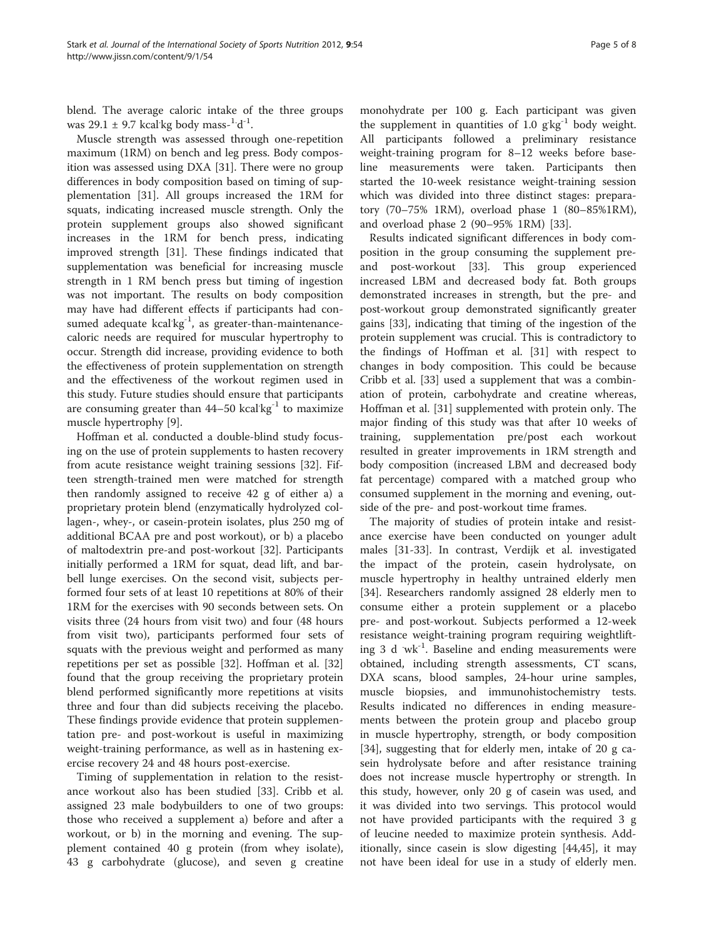blend. The average caloric intake of the three groups was 29.1  $\pm$  9.7 kcal kg body mass- $^{1}$ d<sup>-1</sup>.

Muscle strength was assessed through one-repetition maximum (1RM) on bench and leg press. Body composition was assessed using DXA [\[31\]](#page-7-0). There were no group differences in body composition based on timing of supplementation [\[31](#page-7-0)]. All groups increased the 1RM for squats, indicating increased muscle strength. Only the protein supplement groups also showed significant increases in the 1RM for bench press, indicating improved strength [\[31](#page-7-0)]. These findings indicated that supplementation was beneficial for increasing muscle strength in 1 RM bench press but timing of ingestion was not important. The results on body composition may have had different effects if participants had consumed adequate kcal·kg<sup>-1</sup>, as greater-than-maintenancecaloric needs are required for muscular hypertrophy to occur. Strength did increase, providing evidence to both the effectiveness of protein supplementation on strength and the effectiveness of the workout regimen used in this study. Future studies should ensure that participants are consuming greater than  $44-50$  kcal $\, \rm kg^{-1}$  to maximize muscle hypertrophy [\[9](#page-6-0)].

Hoffman et al. conducted a double-blind study focusing on the use of protein supplements to hasten recovery from acute resistance weight training sessions [\[32](#page-7-0)]. Fifteen strength-trained men were matched for strength then randomly assigned to receive 42 g of either a) a proprietary protein blend (enzymatically hydrolyzed collagen-, whey-, or casein-protein isolates, plus 250 mg of additional BCAA pre and post workout), or b) a placebo of maltodextrin pre-and post-workout [\[32\]](#page-7-0). Participants initially performed a 1RM for squat, dead lift, and barbell lunge exercises. On the second visit, subjects performed four sets of at least 10 repetitions at 80% of their 1RM for the exercises with 90 seconds between sets. On visits three (24 hours from visit two) and four (48 hours from visit two), participants performed four sets of squats with the previous weight and performed as many repetitions per set as possible [[32](#page-7-0)]. Hoffman et al. [[32](#page-7-0)] found that the group receiving the proprietary protein blend performed significantly more repetitions at visits three and four than did subjects receiving the placebo. These findings provide evidence that protein supplementation pre- and post-workout is useful in maximizing weight-training performance, as well as in hastening exercise recovery 24 and 48 hours post-exercise.

Timing of supplementation in relation to the resistance workout also has been studied [[33\]](#page-7-0). Cribb et al. assigned 23 male bodybuilders to one of two groups: those who received a supplement a) before and after a workout, or b) in the morning and evening. The supplement contained 40 g protein (from whey isolate), 43 g carbohydrate (glucose), and seven g creatine

monohydrate per 100 g. Each participant was given the supplement in quantities of 1.0  $gkg^{-1}$  body weight. All participants followed a preliminary resistance weight-training program for 8–12 weeks before baseline measurements were taken. Participants then started the 10-week resistance weight-training session which was divided into three distinct stages: preparatory (70–75% 1RM), overload phase 1 (80–85%1RM), and overload phase 2 (90–95% 1RM) [\[33](#page-7-0)].

Results indicated significant differences in body composition in the group consuming the supplement preand post-workout [[33](#page-7-0)]. This group experienced increased LBM and decreased body fat. Both groups demonstrated increases in strength, but the pre- and post-workout group demonstrated significantly greater gains [\[33](#page-7-0)], indicating that timing of the ingestion of the protein supplement was crucial. This is contradictory to the findings of Hoffman et al. [[31](#page-7-0)] with respect to changes in body composition. This could be because Cribb et al. [[33\]](#page-7-0) used a supplement that was a combination of protein, carbohydrate and creatine whereas, Hoffman et al. [\[31\]](#page-7-0) supplemented with protein only. The major finding of this study was that after 10 weeks of training, supplementation pre/post each workout resulted in greater improvements in 1RM strength and body composition (increased LBM and decreased body fat percentage) compared with a matched group who consumed supplement in the morning and evening, outside of the pre- and post-workout time frames.

The majority of studies of protein intake and resistance exercise have been conducted on younger adult males [[31-33](#page-7-0)]. In contrast, Verdijk et al. investigated the impact of the protein, casein hydrolysate, on muscle hypertrophy in healthy untrained elderly men [[34\]](#page-7-0). Researchers randomly assigned 28 elderly men to consume either a protein supplement or a placebo pre- and post-workout. Subjects performed a 12-week resistance weight-training program requiring weightlifting 3 d wk<sup>-1</sup>. Baseline and ending measurements were obtained, including strength assessments, CT scans, DXA scans, blood samples, 24-hour urine samples, muscle biopsies, and immunohistochemistry tests. Results indicated no differences in ending measurements between the protein group and placebo group in muscle hypertrophy, strength, or body composition [[34\]](#page-7-0), suggesting that for elderly men, intake of 20 g casein hydrolysate before and after resistance training does not increase muscle hypertrophy or strength. In this study, however, only 20 g of casein was used, and it was divided into two servings. This protocol would not have provided participants with the required 3 g of leucine needed to maximize protein synthesis. Additionally, since casein is slow digesting [\[44,45\]](#page-7-0), it may not have been ideal for use in a study of elderly men.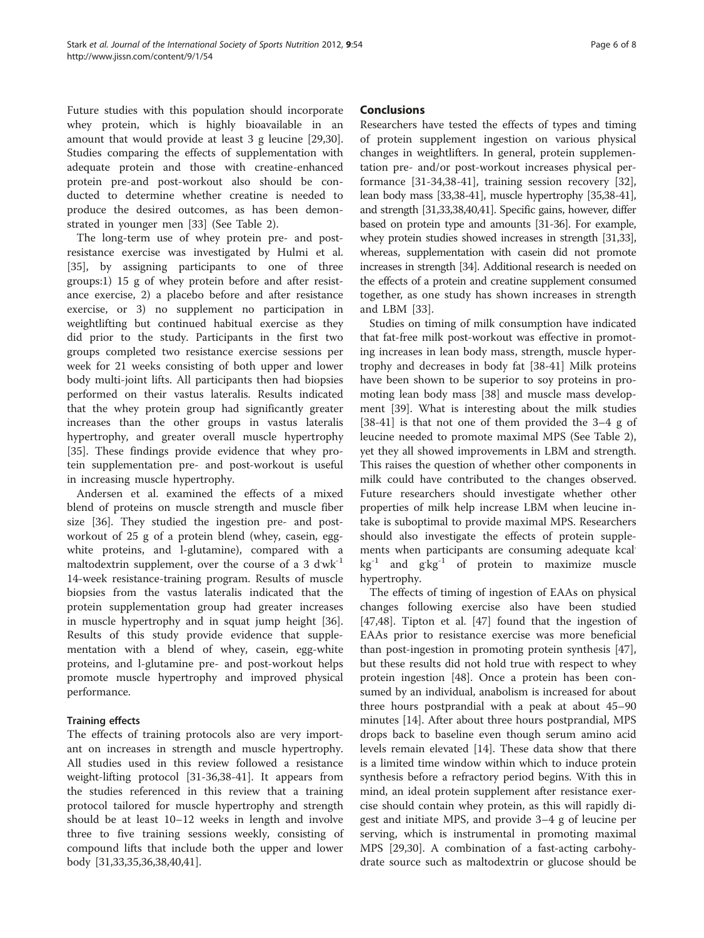Future studies with this population should incorporate whey protein, which is highly bioavailable in an amount that would provide at least 3 g leucine [\[29,30](#page-6-0)]. Studies comparing the effects of supplementation with adequate protein and those with creatine-enhanced protein pre-and post-workout also should be conducted to determine whether creatine is needed to produce the desired outcomes, as has been demonstrated in younger men [\[33](#page-7-0)] (See Table [2\)](#page-2-0).

The long-term use of whey protein pre- and postresistance exercise was investigated by Hulmi et al. [[35\]](#page-7-0), by assigning participants to one of three groups:1) 15 g of whey protein before and after resistance exercise, 2) a placebo before and after resistance exercise, or 3) no supplement no participation in weightlifting but continued habitual exercise as they did prior to the study. Participants in the first two groups completed two resistance exercise sessions per week for 21 weeks consisting of both upper and lower body multi-joint lifts. All participants then had biopsies performed on their vastus lateralis. Results indicated that the whey protein group had significantly greater increases than the other groups in vastus lateralis hypertrophy, and greater overall muscle hypertrophy [[35\]](#page-7-0). These findings provide evidence that whey protein supplementation pre- and post-workout is useful in increasing muscle hypertrophy.

Andersen et al. examined the effects of a mixed blend of proteins on muscle strength and muscle fiber size [[36\]](#page-7-0). They studied the ingestion pre- and postworkout of 25 g of a protein blend (whey, casein, eggwhite proteins, and l-glutamine), compared with a maltodextrin supplement, over the course of a 3 d wk<sup>-1</sup> 14-week resistance-training program. Results of muscle biopsies from the vastus lateralis indicated that the protein supplementation group had greater increases in muscle hypertrophy and in squat jump height [\[36](#page-7-0)]. Results of this study provide evidence that supplementation with a blend of whey, casein, egg-white proteins, and l-glutamine pre- and post-workout helps promote muscle hypertrophy and improved physical performance.

# Training effects

The effects of training protocols also are very important on increases in strength and muscle hypertrophy. All studies used in this review followed a resistance weight-lifting protocol [[31-36,38-41](#page-7-0)]. It appears from the studies referenced in this review that a training protocol tailored for muscle hypertrophy and strength should be at least 10–12 weeks in length and involve three to five training sessions weekly, consisting of compound lifts that include both the upper and lower body [[31](#page-7-0),[33](#page-7-0),[35](#page-7-0),[36,38,40,41](#page-7-0)].

## Conclusions

Researchers have tested the effects of types and timing of protein supplement ingestion on various physical changes in weightlifters. In general, protein supplementation pre- and/or post-workout increases physical performance [\[31](#page-7-0)-[34](#page-7-0),[38-41\]](#page-7-0), training session recovery [\[32](#page-7-0)], lean body mass [[33,38-41](#page-7-0)], muscle hypertrophy [[35,38-41](#page-7-0)], and strength [\[31,33,38,40,41](#page-7-0)]. Specific gains, however, differ based on protein type and amounts [[31](#page-7-0)-[36](#page-7-0)]. For example, whey protein studies showed increases in strength [[31,33](#page-7-0)], whereas, supplementation with casein did not promote increases in strength [\[34\]](#page-7-0). Additional research is needed on the effects of a protein and creatine supplement consumed together, as one study has shown increases in strength and LBM [[33\]](#page-7-0).

Studies on timing of milk consumption have indicated that fat-free milk post-workout was effective in promoting increases in lean body mass, strength, muscle hypertrophy and decreases in body fat [[38](#page-7-0)-[41\]](#page-7-0) Milk proteins have been shown to be superior to soy proteins in promoting lean body mass [\[38](#page-7-0)] and muscle mass development [[39\]](#page-7-0). What is interesting about the milk studies [[38-41](#page-7-0)] is that not one of them provided the 3–4 g of leucine needed to promote maximal MPS (See Table [2](#page-2-0)), yet they all showed improvements in LBM and strength. This raises the question of whether other components in milk could have contributed to the changes observed. Future researchers should investigate whether other properties of milk help increase LBM when leucine intake is suboptimal to provide maximal MPS. Researchers should also investigate the effects of protein supplements when participants are consuming adequate kcal<sup>.</sup>  $kg^{-1}$  and  $g \, kg^{-1}$  of protein to maximize muscle hypertrophy.

The effects of timing of ingestion of EAAs on physical changes following exercise also have been studied [[47,48\]](#page-7-0). Tipton et al. [[47\]](#page-7-0) found that the ingestion of EAAs prior to resistance exercise was more beneficial than post-ingestion in promoting protein synthesis [\[47](#page-7-0)], but these results did not hold true with respect to whey protein ingestion [[48\]](#page-7-0). Once a protein has been consumed by an individual, anabolism is increased for about three hours postprandial with a peak at about 45–90 minutes [[14\]](#page-6-0). After about three hours postprandial, MPS drops back to baseline even though serum amino acid levels remain elevated [[14\]](#page-6-0). These data show that there is a limited time window within which to induce protein synthesis before a refractory period begins. With this in mind, an ideal protein supplement after resistance exercise should contain whey protein, as this will rapidly digest and initiate MPS, and provide 3–4 g of leucine per serving, which is instrumental in promoting maximal MPS [[29,30](#page-6-0)]. A combination of a fast-acting carbohydrate source such as maltodextrin or glucose should be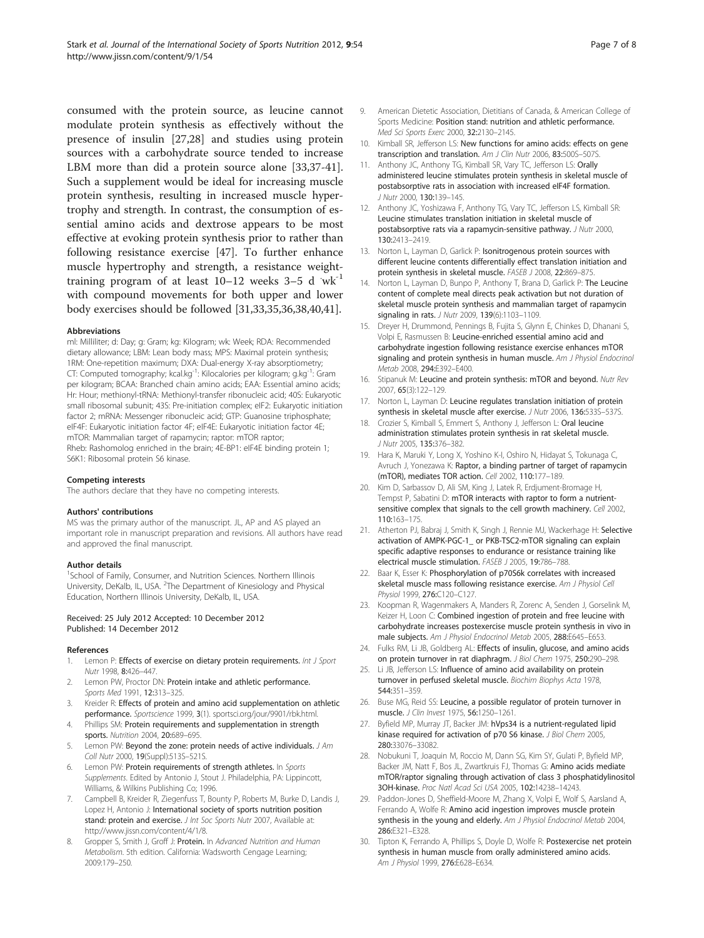<span id="page-6-0"></span>consumed with the protein source, as leucine cannot modulate protein synthesis as effectively without the presence of insulin [27,28] and studies using protein sources with a carbohydrate source tended to increase LBM more than did a protein source alone [\[33,37-41](#page-7-0)]. Such a supplement would be ideal for increasing muscle protein synthesis, resulting in increased muscle hypertrophy and strength. In contrast, the consumption of essential amino acids and dextrose appears to be most effective at evoking protein synthesis prior to rather than following resistance exercise [[47\]](#page-7-0). To further enhance muscle hypertrophy and strength, a resistance weighttraining program of at least  $10-12$  weeks  $3-5$  d  $wk^{-1}$ with compound movements for both upper and lower body exercises should be followed [\[31,33,35,36,38,40,41\]](#page-7-0).

#### Abbreviations

ml: Milliliter; d: Day; g: Gram; kg: Kilogram; wk: Week; RDA: Recommended dietary allowance; LBM: Lean body mass; MPS: Maximal protein synthesis; 1RM: One-repetition maximum; DXA: Dual-energy X-ray absorptiometry; CT: Computed tomography; kcal.kg<sup>-1</sup>: Kilocalories per kilogram; g.kg<sup>-1</sup>: Gram per kilogram; BCAA: Branched chain amino acids; EAA: Essential amino acids; Hr: Hour; methionyl-tRNA: Methionyl-transfer ribonucleic acid; 40S: Eukaryotic small ribosomal subunit; 43S: Pre-initiation complex; eIF2: Eukaryotic initiation factor 2; mRNA: Messenger ribonucleic acid; GTP: Guanosine triphosphate; eIF4F: Eukaryotic initiation factor 4F; eIF4E: Eukaryotic initiation factor 4E; mTOR: Mammalian target of rapamycin; raptor: mTOR raptor; Rheb: Rashomolog enriched in the brain; 4E-BP1: eIF4E binding protein 1; S6K1: Ribosomal protein S6 kinase.

#### Competing interests

The authors declare that they have no competing interests.

#### Authors' contributions

MS was the primary author of the manuscript. JL, AP and AS played an important role in manuscript preparation and revisions. All authors have read and approved the final manuscript.

#### Author details

<sup>1</sup>School of Family, Consumer, and Nutrition Sciences. Northern Illinois University, DeKalb, IL, USA. <sup>2</sup>The Department of Kinesiology and Physical Education, Northern Illinois University, DeKalb, IL, USA.

### Received: 25 July 2012 Accepted: 10 December 2012 Published: 14 December 2012

### References

- Lemon P: Effects of exercise on dietary protein requirements. Int J Sport Nutr 1998, 8:426–447.
- 2. Lemon PW, Proctor DN: Protein intake and athletic performance. Sports Med 1991, 12:313–325.
- 3. Kreider R: Effects of protein and amino acid supplementation on athletic performance. Sportscience 1999, 3(1). [sportsci.org/jour/9901/rbk.html](http://sportsci.org/jour/9901/rbk.html).
- 4. Phillips SM: Protein requirements and supplementation in strength sports. Nutrition 2004, 20:689-695.
- 5. Lemon PW: Beyond the zone: protein needs of active individuals. J Am Coll Nutr 2000, 19(Suppl):513S–521S.
- 6. Lemon PW: Protein requirements of strength athletes. In Sports Supplements. Edited by Antonio J, Stout J. Philadelphia, PA: Lippincott, Williams, & Wilkins Publishing Co; 1996.
- 7. Campbell B, Kreider R, Ziegenfuss T, Bounty P, Roberts M, Burke D, Landis J, Lopez H, Antonio J: International society of sports nutrition position stand: protein and exercise. J Int Soc Sports Nutr 2007, Available at: <http://www.jissn.com/content/4/1/8>.
- Gropper S, Smith J, Groff J: Protein. In Advanced Nutrition and Human Metabolism. 5th edition. California: Wadsworth Cengage Learning; 2009:179–250.
- 9. American Dietetic Association, Dietitians of Canada, & American College of Sports Medicine: Position stand: nutrition and athletic performance. Med Sci Sports Exerc 2000, 32:2130–2145.
- 10. Kimball SR, Jefferson LS: New functions for amino acids: effects on gene transcription and translation. Am J Clin Nutr 2006, 83:500S-507S.
- 11. Anthony JC, Anthony TG, Kimball SR, Vary TC, Jefferson LS: Orally administered leucine stimulates protein synthesis in skeletal muscle of postabsorptive rats in association with increased eIF4F formation. J Nutr 2000, 130:139–145.
- 12. Anthony JC, Yoshizawa F, Anthony TG, Vary TC, Jefferson LS, Kimball SR: Leucine stimulates translation initiation in skeletal muscle of postabsorptive rats via a rapamycin-sensitive pathway. J Nutr 2000, 130:2413–2419.
- 13. Norton L, Layman D, Garlick P: Isonitrogenous protein sources with different leucine contents differentially effect translation initiation and protein synthesis in skeletal muscle. FASEB J 2008, 22:869-875.
- 14. Norton L, Layman D, Bunpo P, Anthony T, Brana D, Garlick P: The Leucine content of complete meal directs peak activation but not duration of skeletal muscle protein synthesis and mammalian target of rapamycin signaling in rats. *J Nutr* 2009, 139(6):1103-1109.
- 15. Dreyer H, Drummond, Pennings B, Fujita S, Glynn E, Chinkes D, Dhanani S, Volpi E, Rasmussen B: Leucine-enriched essential amino acid and carbohydrate ingestion following resistance exercise enhances mTOR signaling and protein synthesis in human muscle. Am J Physiol Endocrinol Metab 2008, 294:E392–E400.
- 16. Stipanuk M: Leucine and protein synthesis: mTOR and beyond. Nutr Rev 2007, 65(3):122–129.
- 17. Norton L, Layman D: Leucine regulates translation initiation of protein synthesis in skeletal muscle after exercise. J Nutr 2006, 136:533S-537S.
- 18. Crozier S, Kimball S, Emmert S, Anthony J, Jefferson L: Oral leucine administration stimulates protein synthesis in rat skeletal muscle. J Nutr 2005, 135:376–382.
- 19. Hara K, Maruki Y, Long X, Yoshino K-I, Oshiro N, Hidayat S, Tokunaga C, Avruch J, Yonezawa K: Raptor, a binding partner of target of rapamycin (mTOR), mediates TOR action. Cell 2002, 110:177–189.
- 20. Kim D, Sarbassov D, Ali SM, King J, Latek R, Erdjument-Bromage H, Tempst P, Sabatini D: mTOR interacts with raptor to form a nutrientsensitive complex that signals to the cell growth machinery. Cell 2002, 110:163–175.
- 21. Atherton PJ, Babraj J, Smith K, Singh J, Rennie MJ, Wackerhage H: Selective activation of AMPK-PGC-1\_ or PKB-TSC2-mTOR signaling can explain specific adaptive responses to endurance or resistance training like electrical muscle stimulation. FASEB J 2005, 19:786-788.
- 22. Baar K, Esser K: Phosphorylation of p70S6k correlates with increased skeletal muscle mass following resistance exercise. Am J Physiol Cell Physiol 1999, 276:C120-C127.
- 23. Koopman R, Wagenmakers A, Manders R, Zorenc A, Senden J, Gorselink M, Keizer H, Loon C: Combined ingestion of protein and free leucine with carbohydrate increases postexercise muscle protein synthesis in vivo in male subjects. Am J Physiol Endocrinol Metab 2005, 288:E645–E653.
- 24. Fulks RM, Li JB, Goldberg AL: Effects of insulin, glucose, and amino acids on protein turnover in rat diaphragm. J Biol Chem 1975, 250:290–298.
- 25. Li JB, Jefferson LS: Influence of amino acid availability on protein turnover in perfused skeletal muscle. Biochim Biophys Acta 1978, 544:351–359.
- 26. Buse MG, Reid SS: Leucine, a possible regulator of protein turnover in muscle. J Clin Invest 1975, 56:1250–1261.
- 27. Byfield MP, Murray JT, Backer JM: hVps34 is a nutrient-regulated lipid kinase required for activation of p70 S6 kinase. J Biol Chem 2005, 280:33076–33082.
- 28. Nobukuni T, Joaquin M, Roccio M, Dann SG, Kim SY, Gulati P, Byfield MP, Backer JM, Natt F, Bos JL, Zwartkruis FJ, Thomas G: Amino acids mediate mTOR/raptor signaling through activation of class 3 phosphatidylinositol 3OH-kinase. Proc Natl Acad Sci USA 2005, 102:14238–14243.
- 29. Paddon-Jones D, Sheffield-Moore M, Zhang X, Volpi E, Wolf S, Aarsland A, Ferrando A, Wolfe R: Amino acid ingestion improves muscle protein synthesis in the young and elderly. Am J Physiol Endocrinol Metab 2004, 286:E321–E328.
- 30. Tipton K, Ferrando A, Phillips S, Doyle D, Wolfe R: Postexercise net protein synthesis in human muscle from orally administered amino acids. Am J Physiol 1999, 276:E628–E634.